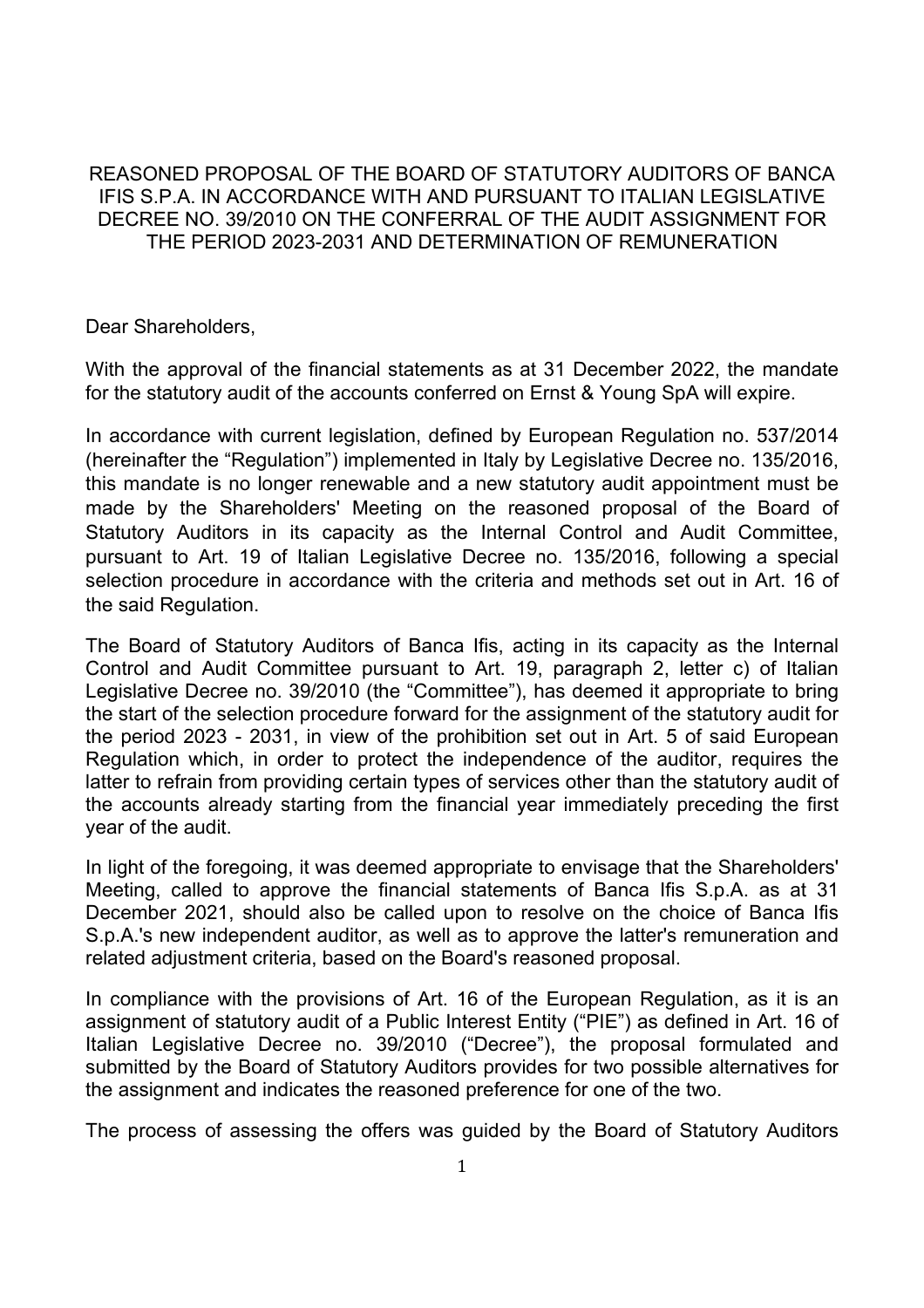### REASONED PROPOSAL OF THE BOARD OF STATUTORY AUDITORS OF BANCA IFIS S.P.A. IN ACCORDANCE WITH AND PURSUANT TO ITALIAN LEGISLATIVE DECREE NO. 39/2010 ON THE CONFERRAL OF THE AUDIT ASSIGNMENT FOR THE PERIOD 2023-2031 AND DETERMINATION OF REMUNERATION

Dear Shareholders,

With the approval of the financial statements as at 31 December 2022, the mandate for the statutory audit of the accounts conferred on Ernst & Young SpA will expire.

In accordance with current legislation, defined by European Regulation no. 537/2014 (hereinafter the "Regulation") implemented in Italy by Legislative Decree no. 135/2016, this mandate is no longer renewable and a new statutory audit appointment must be made by the Shareholders' Meeting on the reasoned proposal of the Board of Statutory Auditors in its capacity as the Internal Control and Audit Committee, pursuant to Art. 19 of Italian Legislative Decree no. 135/2016, following a special selection procedure in accordance with the criteria and methods set out in Art. 16 of the said Regulation.

The Board of Statutory Auditors of Banca Ifis, acting in its capacity as the Internal Control and Audit Committee pursuant to Art. 19, paragraph 2, letter c) of Italian Legislative Decree no. 39/2010 (the "Committee"), has deemed it appropriate to bring the start of the selection procedure forward for the assignment of the statutory audit for the period 2023 - 2031, in view of the prohibition set out in Art. 5 of said European Regulation which, in order to protect the independence of the auditor, requires the latter to refrain from providing certain types of services other than the statutory audit of the accounts already starting from the financial year immediately preceding the first year of the audit.

In light of the foregoing, it was deemed appropriate to envisage that the Shareholders' Meeting, called to approve the financial statements of Banca Ifis S.p.A. as at 31 December 2021, should also be called upon to resolve on the choice of Banca Ifis S.p.A.'s new independent auditor, as well as to approve the latter's remuneration and related adjustment criteria, based on the Board's reasoned proposal.

In compliance with the provisions of Art. 16 of the European Regulation, as it is an assignment of statutory audit of a Public Interest Entity ("PIE") as defined in Art. 16 of Italian Legislative Decree no. 39/2010 ("Decree"), the proposal formulated and submitted by the Board of Statutory Auditors provides for two possible alternatives for the assignment and indicates the reasoned preference for one of the two.

The process of assessing the offers was guided by the Board of Statutory Auditors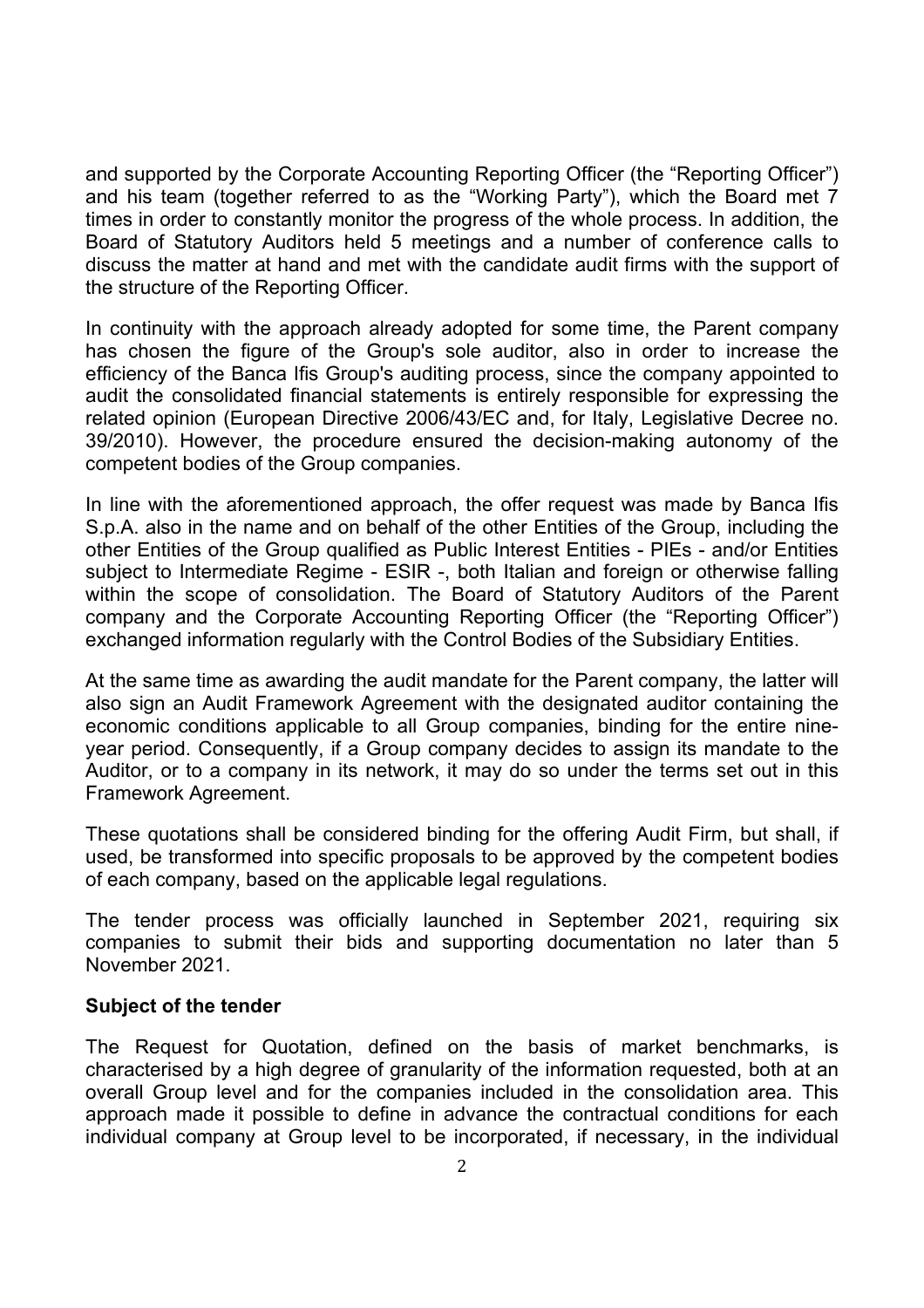and supported by the Corporate Accounting Reporting Officer (the "Reporting Officer") and his team (together referred to as the "Working Party"), which the Board met 7 times in order to constantly monitor the progress of the whole process. In addition, the Board of Statutory Auditors held 5 meetings and a number of conference calls to discuss the matter at hand and met with the candidate audit firms with the support of the structure of the Reporting Officer.

In continuity with the approach already adopted for some time, the Parent company has chosen the figure of the Group's sole auditor, also in order to increase the efficiency of the Banca Ifis Group's auditing process, since the company appointed to audit the consolidated financial statements is entirely responsible for expressing the related opinion (European Directive 2006/43/EC and, for Italy, Legislative Decree no. 39/2010). However, the procedure ensured the decision-making autonomy of the competent bodies of the Group companies.

In line with the aforementioned approach, the offer request was made by Banca Ifis S.p.A. also in the name and on behalf of the other Entities of the Group, including the other Entities of the Group qualified as Public Interest Entities - PIEs - and/or Entities subject to Intermediate Regime - ESIR -, both Italian and foreign or otherwise falling within the scope of consolidation. The Board of Statutory Auditors of the Parent company and the Corporate Accounting Reporting Officer (the "Reporting Officer") exchanged information regularly with the Control Bodies of the Subsidiary Entities.

At the same time as awarding the audit mandate for the Parent company, the latter will also sign an Audit Framework Agreement with the designated auditor containing the economic conditions applicable to all Group companies, binding for the entire nineyear period. Consequently, if a Group company decides to assign its mandate to the Auditor, or to a company in its network, it may do so under the terms set out in this Framework Agreement.

These quotations shall be considered binding for the offering Audit Firm, but shall, if used, be transformed into specific proposals to be approved by the competent bodies of each company, based on the applicable legal regulations.

The tender process was officially launched in September 2021, requiring six companies to submit their bids and supporting documentation no later than 5 November 2021.

#### **Subject of the tender**

The Request for Quotation, defined on the basis of market benchmarks, is characterised by a high degree of granularity of the information requested, both at an overall Group level and for the companies included in the consolidation area. This approach made it possible to define in advance the contractual conditions for each individual company at Group level to be incorporated, if necessary, in the individual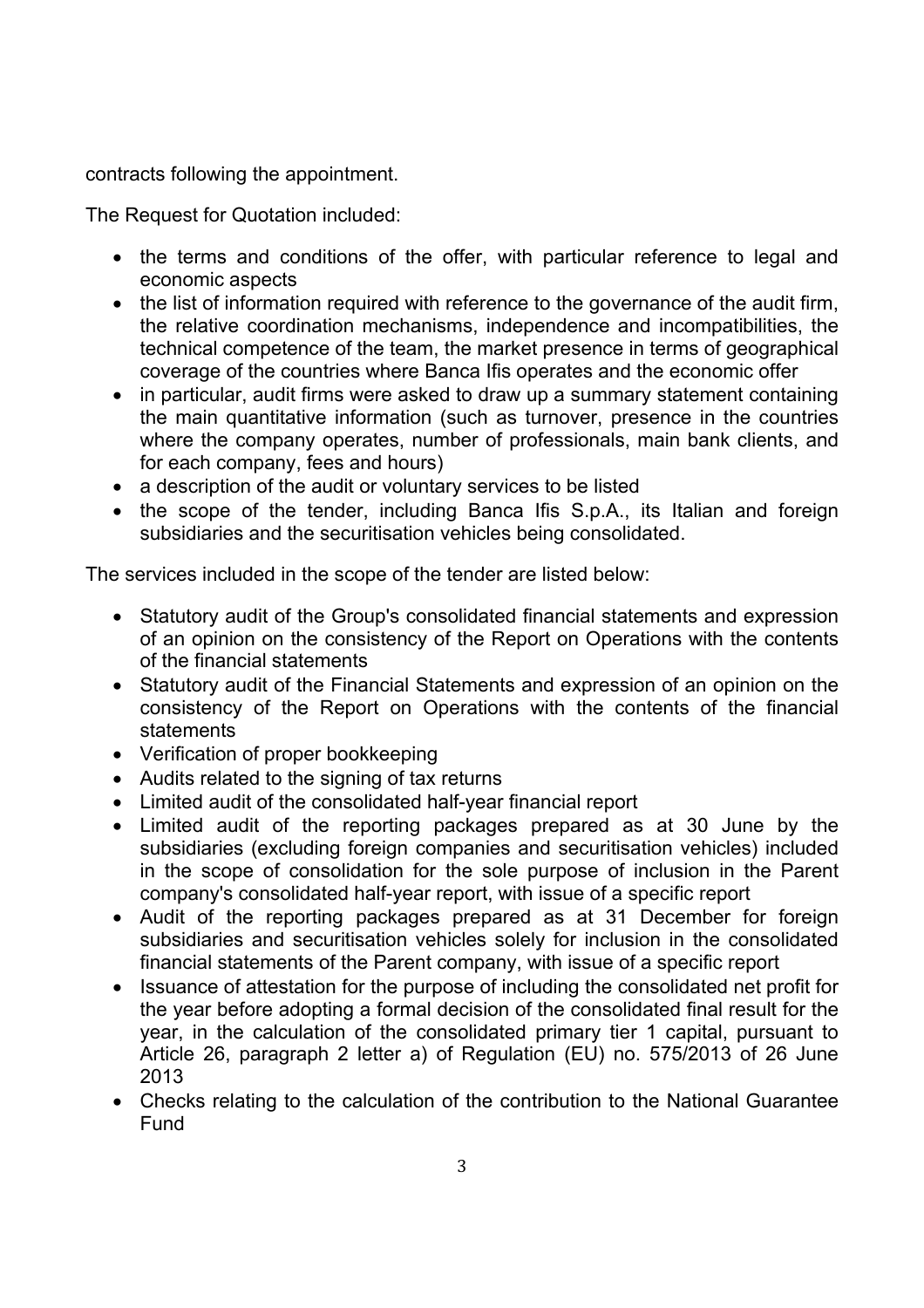contracts following the appointment.

The Request for Quotation included:

- the terms and conditions of the offer, with particular reference to legal and economic aspects
- the list of information required with reference to the governance of the audit firm, the relative coordination mechanisms, independence and incompatibilities, the technical competence of the team, the market presence in terms of geographical coverage of the countries where Banca Ifis operates and the economic offer
- in particular, audit firms were asked to draw up a summary statement containing the main quantitative information (such as turnover, presence in the countries where the company operates, number of professionals, main bank clients, and for each company, fees and hours)
- a description of the audit or voluntary services to be listed
- the scope of the tender, including Banca Ifis S.p.A., its Italian and foreign subsidiaries and the securitisation vehicles being consolidated.

The services included in the scope of the tender are listed below:

- Statutory audit of the Group's consolidated financial statements and expression of an opinion on the consistency of the Report on Operations with the contents of the financial statements
- Statutory audit of the Financial Statements and expression of an opinion on the consistency of the Report on Operations with the contents of the financial statements
- Verification of proper bookkeeping
- Audits related to the signing of tax returns
- Limited audit of the consolidated half-year financial report
- Limited audit of the reporting packages prepared as at 30 June by the subsidiaries (excluding foreign companies and securitisation vehicles) included in the scope of consolidation for the sole purpose of inclusion in the Parent company's consolidated half-year report, with issue of a specific report
- Audit of the reporting packages prepared as at 31 December for foreign subsidiaries and securitisation vehicles solely for inclusion in the consolidated financial statements of the Parent company, with issue of a specific report
- Issuance of attestation for the purpose of including the consolidated net profit for the year before adopting a formal decision of the consolidated final result for the year, in the calculation of the consolidated primary tier 1 capital, pursuant to Article 26, paragraph 2 letter a) of Regulation (EU) no. 575/2013 of 26 June 2013
- Checks relating to the calculation of the contribution to the National Guarantee Fund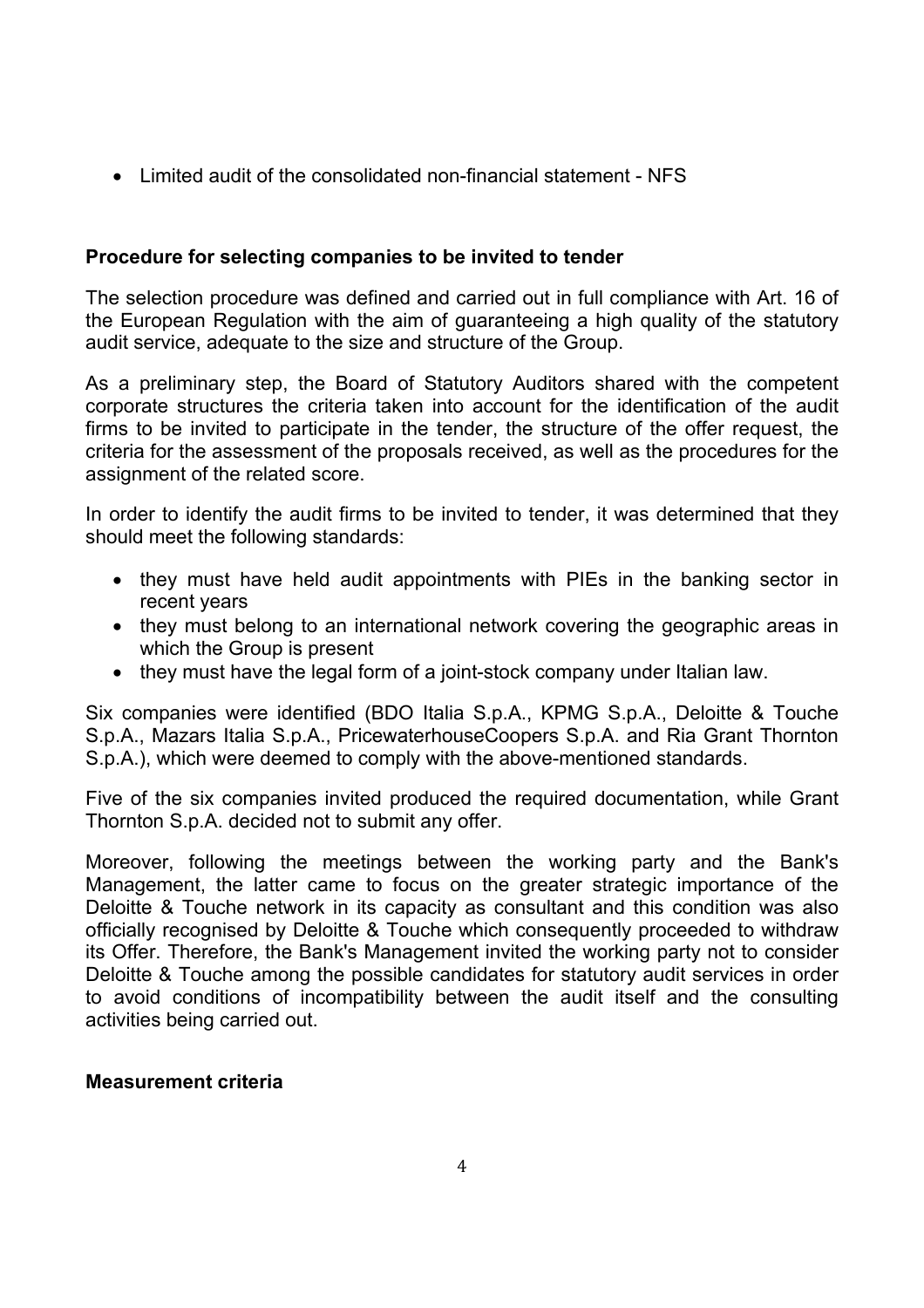Limited audit of the consolidated non-financial statement - NFS

# **Procedure for selecting companies to be invited to tender**

The selection procedure was defined and carried out in full compliance with Art. 16 of the European Regulation with the aim of guaranteeing a high quality of the statutory audit service, adequate to the size and structure of the Group.

As a preliminary step, the Board of Statutory Auditors shared with the competent corporate structures the criteria taken into account for the identification of the audit firms to be invited to participate in the tender, the structure of the offer request, the criteria for the assessment of the proposals received, as well as the procedures for the assignment of the related score.

In order to identify the audit firms to be invited to tender, it was determined that they should meet the following standards:

- they must have held audit appointments with PIEs in the banking sector in recent years
- they must belong to an international network covering the geographic areas in which the Group is present
- they must have the legal form of a joint-stock company under Italian law.

Six companies were identified (BDO Italia S.p.A., KPMG S.p.A., Deloitte & Touche S.p.A., Mazars Italia S.p.A., PricewaterhouseCoopers S.p.A. and Ria Grant Thornton S.p.A.), which were deemed to comply with the above-mentioned standards.

Five of the six companies invited produced the required documentation, while Grant Thornton S.p.A. decided not to submit any offer.

Moreover, following the meetings between the working party and the Bank's Management, the latter came to focus on the greater strategic importance of the Deloitte & Touche network in its capacity as consultant and this condition was also officially recognised by Deloitte & Touche which consequently proceeded to withdraw its Offer. Therefore, the Bank's Management invited the working party not to consider Deloitte & Touche among the possible candidates for statutory audit services in order to avoid conditions of incompatibility between the audit itself and the consulting activities being carried out.

#### **Measurement criteria**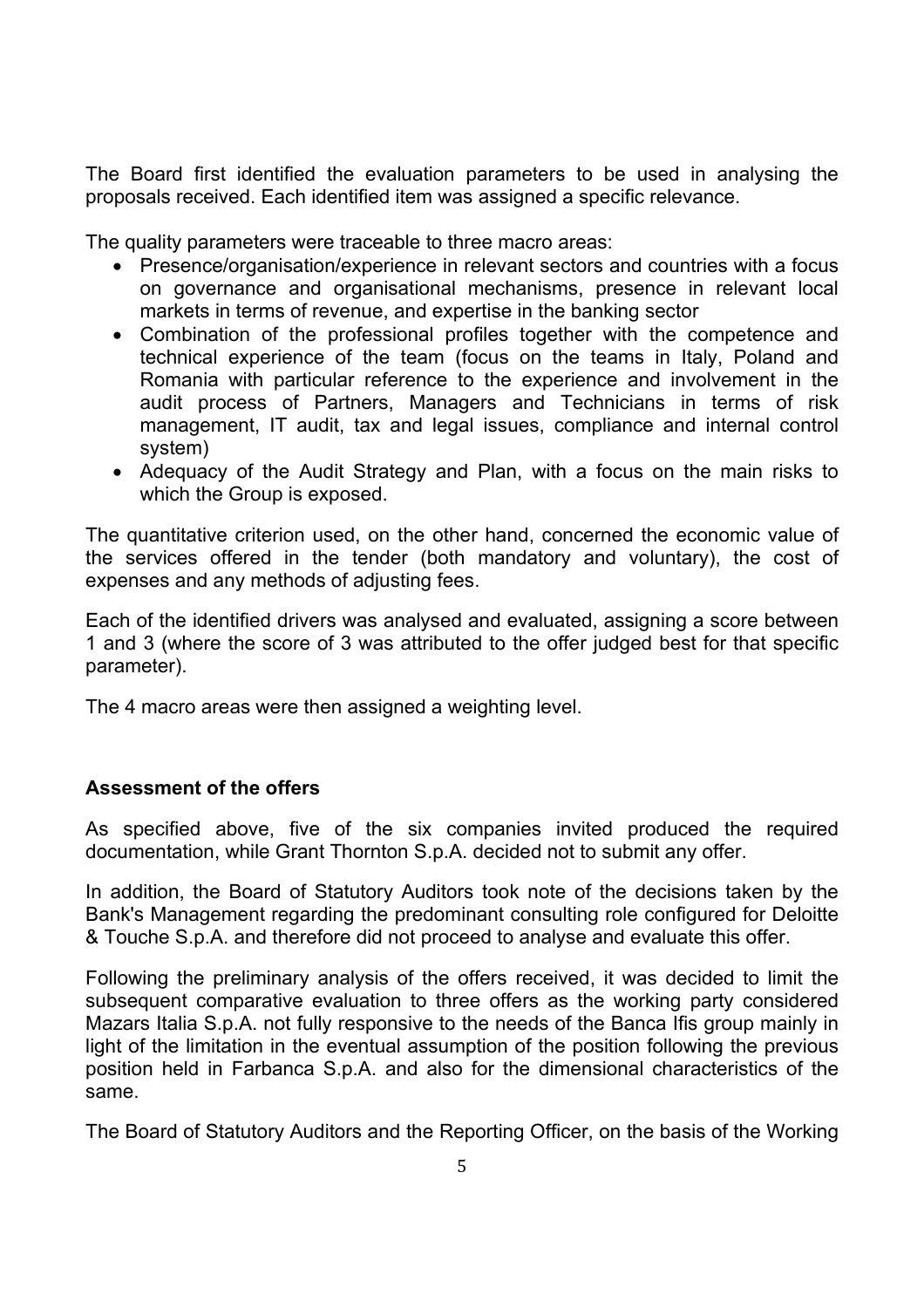The Board first identified the evaluation parameters to be used in analysing the proposals received. Each identified item was assigned a specific relevance.

The quality parameters were traceable to three macro areas:

- Presence/organisation/experience in relevant sectors and countries with a focus on governance and organisational mechanisms, presence in relevant local markets in terms of revenue, and expertise in the banking sector
- Combination of the professional profiles together with the competence and technical experience of the team (focus on the teams in Italy, Poland and Romania with particular reference to the experience and involvement in the audit process of Partners, Managers and Technicians in terms of risk management, IT audit, tax and legal issues, compliance and internal control system)
- Adequacy of the Audit Strategy and Plan, with a focus on the main risks to which the Group is exposed.

The quantitative criterion used, on the other hand, concerned the economic value of the services offered in the tender (both mandatory and voluntary), the cost of expenses and any methods of adjusting fees.

Each of the identified drivers was analysed and evaluated, assigning a score between 1 and 3 (where the score of 3 was attributed to the offer judged best for that specific parameter).

The 4 macro areas were then assigned a weighting level.

## **Assessment of the offers**

As specified above, five of the six companies invited produced the required documentation, while Grant Thornton S.p.A. decided not to submit any offer.

In addition, the Board of Statutory Auditors took note of the decisions taken by the Bank's Management regarding the predominant consulting role configured for Deloitte & Touche S.p.A. and therefore did not proceed to analyse and evaluate this offer.

Following the preliminary analysis of the offers received, it was decided to limit the subsequent comparative evaluation to three offers as the working party considered Mazars Italia S.p.A. not fully responsive to the needs of the Banca Ifis group mainly in light of the limitation in the eventual assumption of the position following the previous position held in Farbanca S.p.A. and also for the dimensional characteristics of the same.

The Board of Statutory Auditors and the Reporting Officer, on the basis of the Working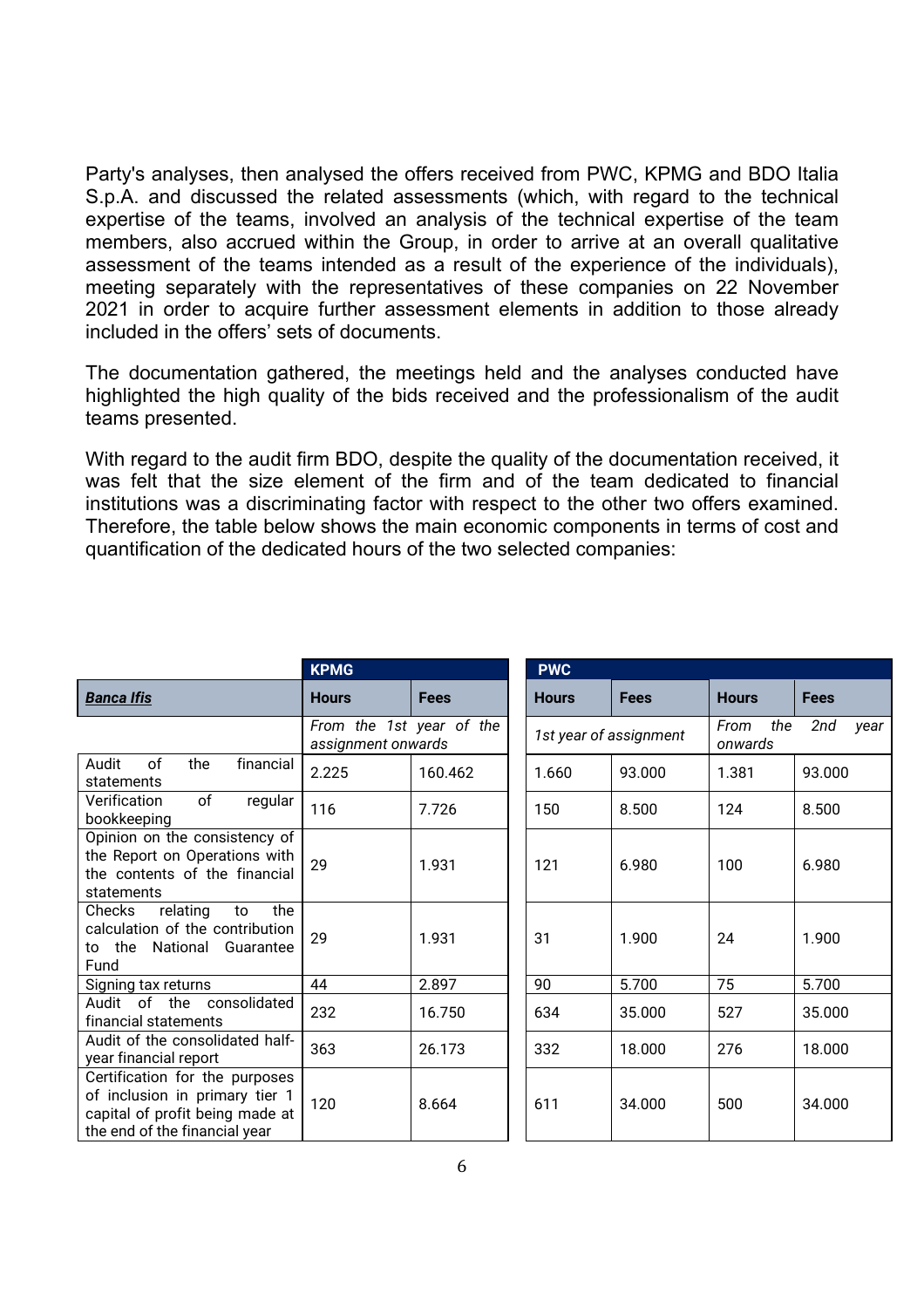Party's analyses, then analysed the offers received from PWC, KPMG and BDO Italia S.p.A. and discussed the related assessments (which, with regard to the technical expertise of the teams, involved an analysis of the technical expertise of the team members, also accrued within the Group, in order to arrive at an overall qualitative assessment of the teams intended as a result of the experience of the individuals), meeting separately with the representatives of these companies on 22 November 2021 in order to acquire further assessment elements in addition to those already included in the offers' sets of documents.

The documentation gathered, the meetings held and the analyses conducted have highlighted the high quality of the bids received and the professionalism of the audit teams presented.

With regard to the audit firm BDO, despite the quality of the documentation received, it was felt that the size element of the firm and of the team dedicated to financial institutions was a discriminating factor with respect to the other two offers examined. Therefore, the table below shows the main economic components in terms of cost and quantification of the dedicated hours of the two selected companies:

|                                                                                                                                      | <b>KPMG</b>                                    |             | <b>PWC</b>             |             |                                       |             |
|--------------------------------------------------------------------------------------------------------------------------------------|------------------------------------------------|-------------|------------------------|-------------|---------------------------------------|-------------|
| <b>Banca Ifis</b>                                                                                                                    | <b>Hours</b>                                   | <b>Fees</b> | <b>Hours</b>           | <b>Fees</b> | <b>Hours</b>                          | <b>Fees</b> |
|                                                                                                                                      | From the 1st year of the<br>assignment onwards |             | 1st year of assignment |             | From<br>the<br>2nd<br>year<br>onwards |             |
| of<br>Audit<br>the<br>financial<br>statements                                                                                        | 2.225                                          | 160.462     | 1.660                  | 93.000      | 1.381                                 | 93.000      |
| of<br>regular<br>Verification<br>bookkeeping                                                                                         | 116                                            | 7.726       | 150                    | 8.500       | 124                                   | 8.500       |
| Opinion on the consistency of<br>the Report on Operations with<br>the contents of the financial<br>statements                        | 29                                             | 1.931       | 121                    | 6.980       | 100                                   | 6.980       |
| the<br>Checks<br>relating<br>to<br>calculation of the contribution<br>to the National Guarantee<br>Fund                              | 29                                             | 1.931       | 31                     | 1.900       | 24                                    | 1.900       |
| Signing tax returns                                                                                                                  | 44                                             | 2.897       | 90                     | 5.700       | 75                                    | 5.700       |
| Audit of the consolidated<br>financial statements                                                                                    | 232                                            | 16.750      | 634                    | 35.000      | 527                                   | 35.000      |
| Audit of the consolidated half-<br>year financial report                                                                             | 363                                            | 26.173      | 332                    | 18.000      | 276                                   | 18.000      |
| Certification for the purposes<br>of inclusion in primary tier 1<br>capital of profit being made at<br>the end of the financial year | 120                                            | 8.664       | 611                    | 34.000      | 500                                   | 34.000      |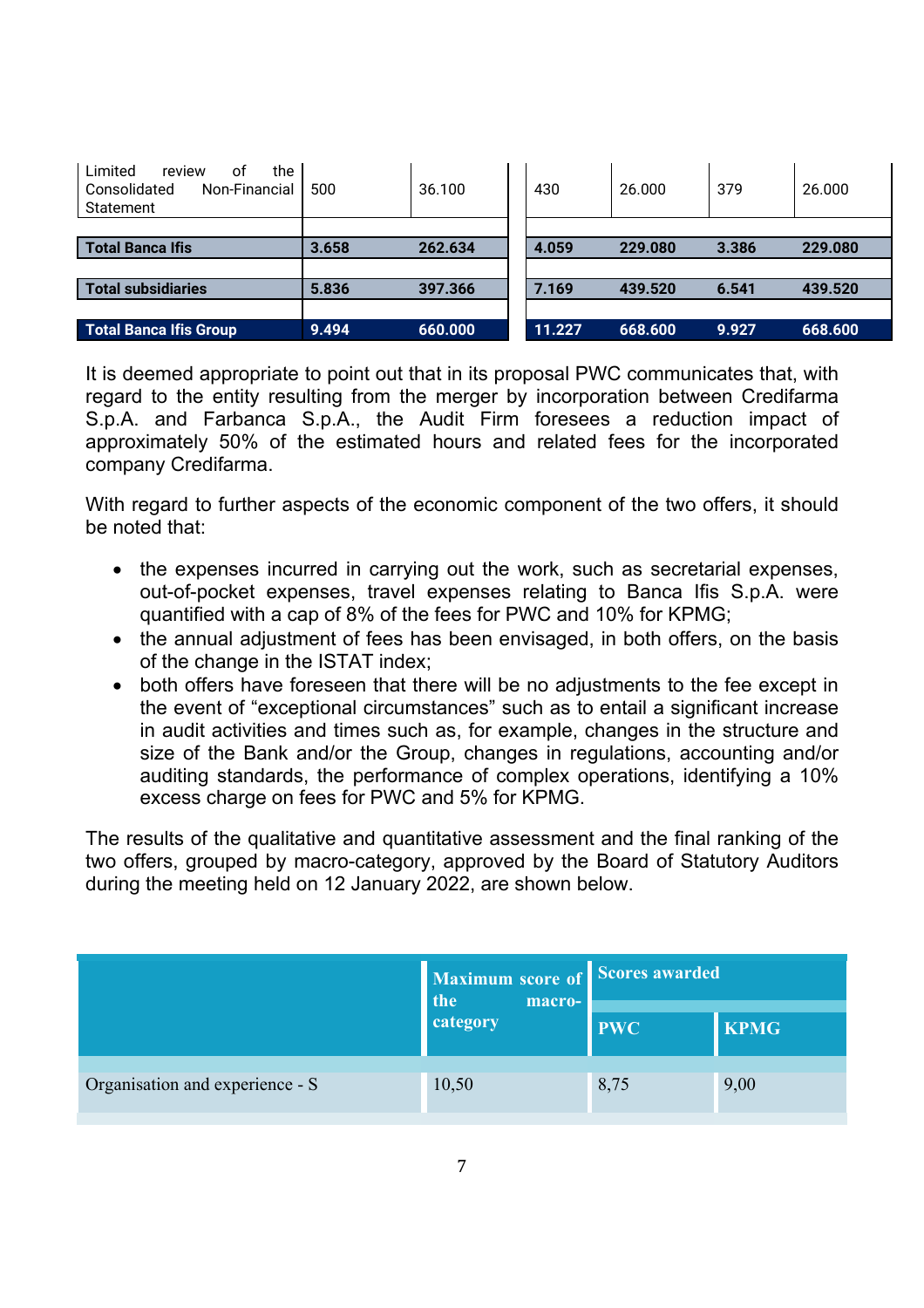| the<br>Limited<br>review<br>οt<br>Non-Financial<br>Consolidated<br>Statement | 500   | 36.100  | 430    | 26.000  | 379   | 26.000  |
|------------------------------------------------------------------------------|-------|---------|--------|---------|-------|---------|
|                                                                              |       |         |        |         |       |         |
| Total Banca Ifis                                                             | 3.658 | 262.634 | 4.059  | 229.080 | 3.386 | 229.080 |
|                                                                              |       |         |        |         |       |         |
| Total subsidiaries                                                           | 5.836 | 397.366 | 7.169  | 439.520 | 6.541 | 439.520 |
|                                                                              |       |         |        |         |       |         |
| <b>Total Banca Ifis Group</b>                                                | 9.494 | 660.000 | 11.227 | 668.600 | 9.927 | 668.600 |

It is deemed appropriate to point out that in its proposal PWC communicates that, with regard to the entity resulting from the merger by incorporation between Credifarma S.p.A. and Farbanca S.p.A., the Audit Firm foresees a reduction impact of approximately 50% of the estimated hours and related fees for the incorporated company Credifarma.

With regard to further aspects of the economic component of the two offers, it should be noted that:

- the expenses incurred in carrying out the work, such as secretarial expenses, out-of-pocket expenses, travel expenses relating to Banca Ifis S.p.A. were quantified with a cap of 8% of the fees for PWC and 10% for KPMG;
- the annual adjustment of fees has been envisaged, in both offers, on the basis of the change in the ISTAT index;
- both offers have foreseen that there will be no adjustments to the fee except in the event of "exceptional circumstances" such as to entail a significant increase in audit activities and times such as, for example, changes in the structure and size of the Bank and/or the Group, changes in regulations, accounting and/or auditing standards, the performance of complex operations, identifying a 10% excess charge on fees for PWC and 5% for KPMG.

The results of the qualitative and quantitative assessment and the final ranking of the two offers, grouped by macro-category, approved by the Board of Statutory Auditors during the meeting held on 12 January 2022, are shown below.

|                                 | Maximum score of<br>the<br>macro- | Scores awarded |             |  |
|---------------------------------|-----------------------------------|----------------|-------------|--|
|                                 | category                          | <b>PWC</b>     | <b>KPMG</b> |  |
| Organisation and experience - S | 10,50                             | 8,75           | 9,00        |  |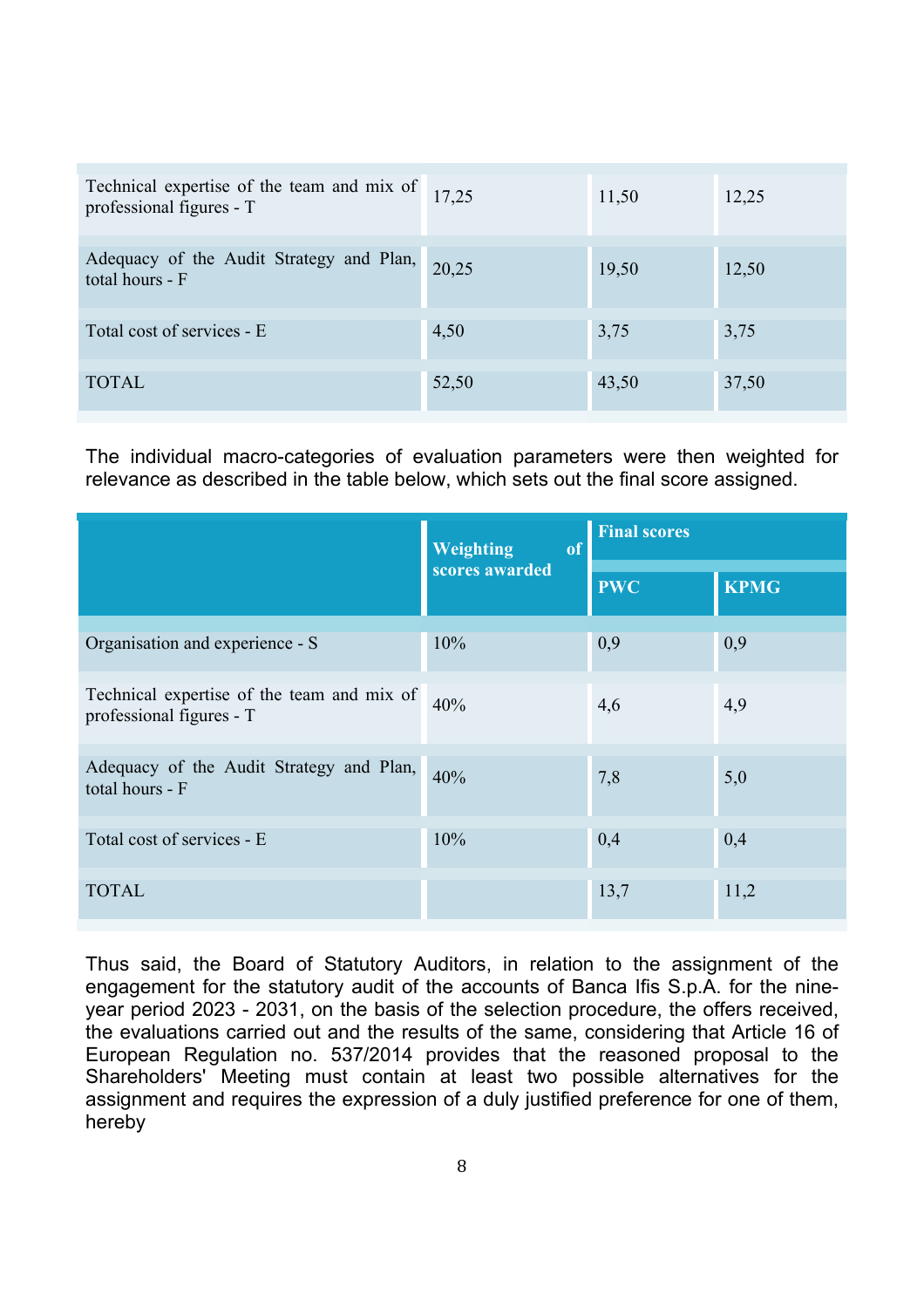| Technical expertise of the team and mix of professional figures - $T$ |       | 11,50 | 12,25 |
|-----------------------------------------------------------------------|-------|-------|-------|
| Adequacy of the Audit Strategy and Plan,<br>total hours - F           | 20,25 | 19,50 | 12,50 |
| Total cost of services - E                                            | 4,50  | 3,75  | 3,75  |
| <b>TOTAL</b>                                                          | 52,50 | 43,50 | 37,50 |

The individual macro-categories of evaluation parameters were then weighted for relevance as described in the table below, which sets out the final score assigned.

|                                                                        | <b>Weighting</b><br>of | <b>Final scores</b> |             |  |
|------------------------------------------------------------------------|------------------------|---------------------|-------------|--|
|                                                                        | scores awarded         | <b>PWC</b>          | <b>KPMG</b> |  |
| Organisation and experience - S                                        | 10%                    | 0,9                 | 0,9         |  |
| Technical expertise of the team and mix of<br>professional figures - T | 40%                    | 4,6                 | 4,9         |  |
| Adequacy of the Audit Strategy and Plan,<br>total hours - F            | 40%                    | 7,8                 | 5,0         |  |
| Total cost of services - E                                             | 10%                    | 0,4                 | 0,4         |  |
| <b>TOTAL</b>                                                           |                        | 13,7                | 11,2        |  |

Thus said, the Board of Statutory Auditors, in relation to the assignment of the engagement for the statutory audit of the accounts of Banca Ifis S.p.A. for the nineyear period 2023 - 2031, on the basis of the selection procedure, the offers received, the evaluations carried out and the results of the same, considering that Article 16 of European Regulation no. 537/2014 provides that the reasoned proposal to the Shareholders' Meeting must contain at least two possible alternatives for the assignment and requires the expression of a duly justified preference for one of them, hereby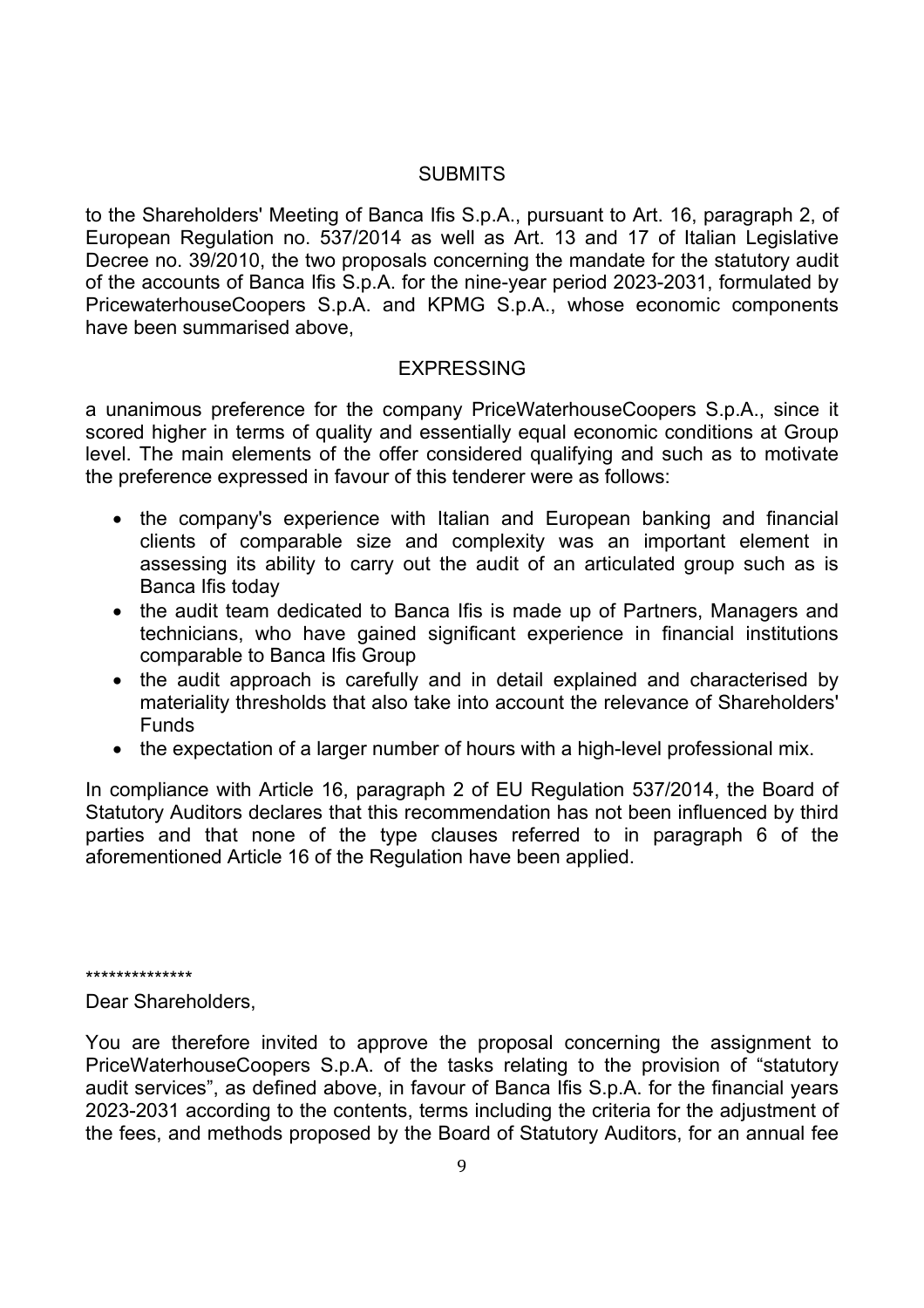### **SUBMITS**

to the Shareholders' Meeting of Banca Ifis S.p.A., pursuant to Art. 16, paragraph 2, of European Regulation no. 537/2014 as well as Art. 13 and 17 of Italian Legislative Decree no. 39/2010, the two proposals concerning the mandate for the statutory audit of the accounts of Banca Ifis S.p.A. for the nine-year period 2023-2031, formulated by PricewaterhouseCoopers S.p.A. and KPMG S.p.A., whose economic components have been summarised above,

#### EXPRESSING

a unanimous preference for the company PriceWaterhouseCoopers S.p.A., since it scored higher in terms of quality and essentially equal economic conditions at Group level. The main elements of the offer considered qualifying and such as to motivate the preference expressed in favour of this tenderer were as follows:

- the company's experience with Italian and European banking and financial clients of comparable size and complexity was an important element in assessing its ability to carry out the audit of an articulated group such as is Banca Ifis today
- the audit team dedicated to Banca Ifis is made up of Partners, Managers and technicians, who have gained significant experience in financial institutions comparable to Banca Ifis Group
- the audit approach is carefully and in detail explained and characterised by materiality thresholds that also take into account the relevance of Shareholders' Funds
- the expectation of a larger number of hours with a high-level professional mix.

In compliance with Article 16, paragraph 2 of EU Regulation 537/2014, the Board of Statutory Auditors declares that this recommendation has not been influenced by third parties and that none of the type clauses referred to in paragraph 6 of the aforementioned Article 16 of the Regulation have been applied.

\*\*\*\*\*\*\*\*\*\*\*\*\*\*

Dear Shareholders,

You are therefore invited to approve the proposal concerning the assignment to PriceWaterhouseCoopers S.p.A. of the tasks relating to the provision of "statutory audit services", as defined above, in favour of Banca Ifis S.p.A. for the financial years 2023-2031 according to the contents, terms including the criteria for the adjustment of the fees, and methods proposed by the Board of Statutory Auditors, for an annual fee